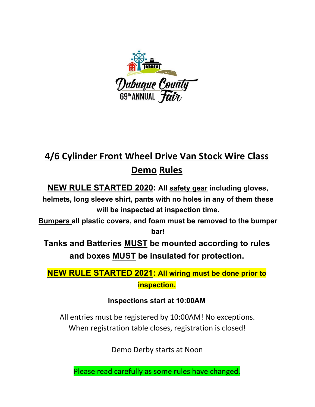

# **4/6 Cylinder Front Wheel Drive Van Stock Wire Class Demo Rules**

**NEW RULE STARTED 2020: All safety gear including gloves,** 

**helmets, long sleeve shirt, pants with no holes in any of them these will be inspected at inspection time.** 

**Bumpers all plastic covers, and foam must be removed to the bumper bar!**

**Tanks and Batteries MUST be mounted according to rules and boxes MUST be insulated for protection.** 

**NEW RULE STARTED 2021: All wiring must be done prior to inspection.** 

**Inspections start at 10:00AM**

All entries must be registered by 10:00AM! No exceptions. When registration table closes, registration is closed!

Demo Derby starts at Noon

Please read carefully as some rules have changed.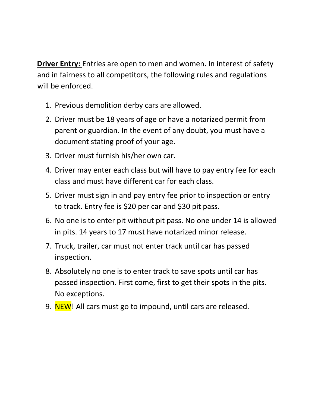**Driver Entry:** Entries are open to men and women. In interest of safety and in fairness to all competitors, the following rules and regulations will be enforced.

- 1. Previous demolition derby cars are allowed.
- 2. Driver must be 18 years of age or have a notarized permit from parent or guardian. In the event of any doubt, you must have a document stating proof of your age.
- 3. Driver must furnish his/her own car.
- 4. Driver may enter each class but will have to pay entry fee for each class and must have different car for each class.
- 5. Driver must sign in and pay entry fee prior to inspection or entry to track. Entry fee is \$20 per car and \$30 pit pass.
- 6. No one is to enter pit without pit pass. No one under 14 is allowed in pits. 14 years to 17 must have notarized minor release.
- 7. Truck, trailer, car must not enter track until car has passed inspection.
- 8. Absolutely no one is to enter track to save spots until car has passed inspection. First come, first to get their spots in the pits. No exceptions.
- 9. NEW! All cars must go to impound, until cars are released.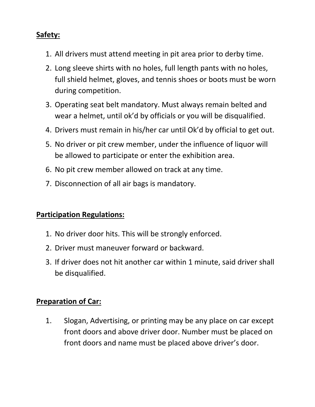## **Safety:**

- 1. All drivers must attend meeting in pit area prior to derby time.
- 2. Long sleeve shirts with no holes, full length pants with no holes, full shield helmet, gloves, and tennis shoes or boots must be worn during competition.
- 3. Operating seat belt mandatory. Must always remain belted and wear a helmet, until ok'd by officials or you will be disqualified.
- 4. Drivers must remain in his/her car until Ok'd by official to get out.
- 5. No driver or pit crew member, under the influence of liquor will be allowed to participate or enter the exhibition area.
- 6. No pit crew member allowed on track at any time.
- 7. Disconnection of all air bags is mandatory.

#### **Participation Regulations:**

- 1. No driver door hits. This will be strongly enforced.
- 2. Driver must maneuver forward or backward.
- 3. If driver does not hit another car within 1 minute, said driver shall be disqualified.

### **Preparation of Car:**

1. Slogan, Advertising, or printing may be any place on car except front doors and above driver door. Number must be placed on front doors and name must be placed above driver's door.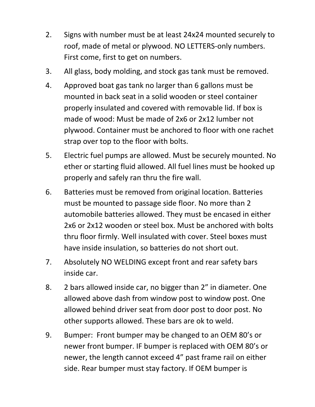- 2. Signs with number must be at least 24x24 mounted securely to roof, made of metal or plywood. NO LETTERS‐only numbers. First come, first to get on numbers.
- 3. All glass, body molding, and stock gas tank must be removed.
- 4. Approved boat gas tank no larger than 6 gallons must be mounted in back seat in a solid wooden or steel container properly insulated and covered with removable lid. If box is made of wood: Must be made of 2x6 or 2x12 lumber not plywood. Container must be anchored to floor with one rachet strap over top to the floor with bolts.
- 5. Electric fuel pumps are allowed. Must be securely mounted. No ether or starting fluid allowed. All fuel lines must be hooked up properly and safely ran thru the fire wall.
- 6. Batteries must be removed from original location. Batteries must be mounted to passage side floor. No more than 2 automobile batteries allowed. They must be encased in either 2x6 or 2x12 wooden or steel box. Must be anchored with bolts thru floor firmly. Well insulated with cover. Steel boxes must have inside insulation, so batteries do not short out.
- 7. Absolutely NO WELDING except front and rear safety bars inside car.
- 8. 2 bars allowed inside car, no bigger than 2" in diameter. One allowed above dash from window post to window post. One allowed behind driver seat from door post to door post. No other supports allowed. These bars are ok to weld.
- 9. Bumper: Front bumper may be changed to an OEM 80's or newer front bumper. IF bumper is replaced with OEM 80's or newer, the length cannot exceed 4" past frame rail on either side. Rear bumper must stay factory. If OEM bumper is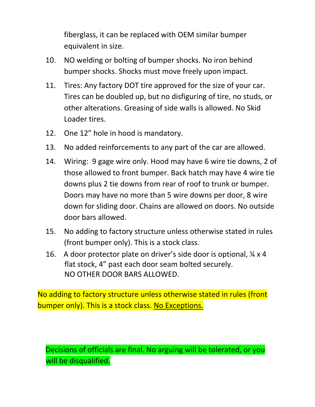fiberglass, it can be replaced with OEM similar bumper equivalent in size.

- 10. NO welding or bolting of bumper shocks. No iron behind bumper shocks. Shocks must move freely upon impact.
- 11. Tires: Any factory DOT tire approved for the size of your car. Tires can be doubled up, but no disfiguring of tire, no studs, or other alterations. Greasing of side walls is allowed. No Skid Loader tires.
- 12. One 12" hole in hood is mandatory.
- 13. No added reinforcements to any part of the car are allowed.
- 14. Wiring: 9 gage wire only. Hood may have 6 wire tie downs, 2 of those allowed to front bumper. Back hatch may have 4 wire tie downs plus 2 tie downs from rear of roof to trunk or bumper. Doors may have no more than 5 wire downs per door, 8 wire down for sliding door. Chains are allowed on doors. No outside door bars allowed.
- 15. No adding to factory structure unless otherwise stated in rules (front bumper only). This is a stock class.
- 16. A door protector plate on driver's side door is optional,  $\frac{1}{4}$  x 4 flat stock, 4" past each door seam bolted securely. NO OTHER DOOR BARS ALLOWED.

No adding to factory structure unless otherwise stated in rules (front bumper only). This is a stock class. No Exceptions.

Decisions of officials are final. No arguing will be tolerated, or you will be disqualified.